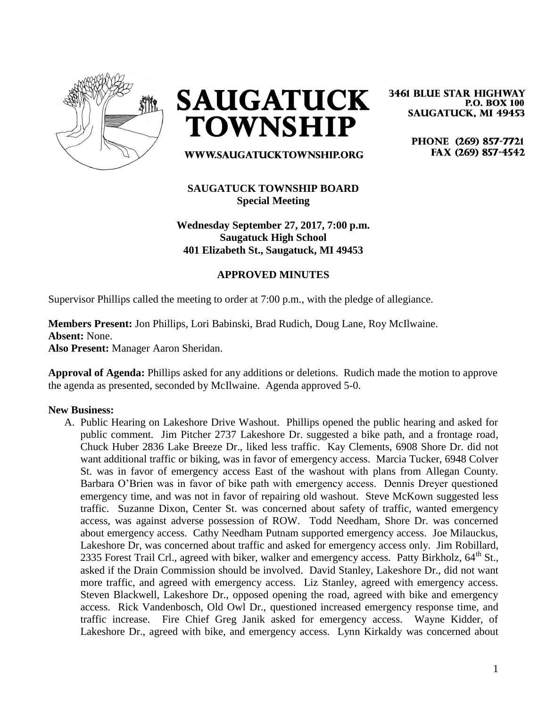

**SAUGATUCK TOWNSHIP** 

WWW.SAUGATUCKTOWNSHIP.ORG

## **SAUGATUCK TOWNSHIP BOARD Special Meeting**

**Wednesday September 27, 2017, 7:00 p.m. Saugatuck High School 401 Elizabeth St., Saugatuck, MI 49453**

## **APPROVED MINUTES**

Supervisor Phillips called the meeting to order at 7:00 p.m., with the pledge of allegiance.

**Members Present:** Jon Phillips, Lori Babinski, Brad Rudich, Doug Lane, Roy McIlwaine. **Absent:** None. **Also Present:** Manager Aaron Sheridan.

**Approval of Agenda:** Phillips asked for any additions or deletions. Rudich made the motion to approve the agenda as presented, seconded by McIlwaine. Agenda approved 5-0.

## **New Business:**

A. Public Hearing on Lakeshore Drive Washout. Phillips opened the public hearing and asked for public comment. Jim Pitcher 2737 Lakeshore Dr. suggested a bike path, and a frontage road, Chuck Huber 2836 Lake Breeze Dr., liked less traffic. Kay Clements, 6908 Shore Dr. did not want additional traffic or biking, was in favor of emergency access. Marcia Tucker, 6948 Colver St. was in favor of emergency access East of the washout with plans from Allegan County. Barbara O'Brien was in favor of bike path with emergency access. Dennis Dreyer questioned emergency time, and was not in favor of repairing old washout. Steve McKown suggested less traffic. Suzanne Dixon, Center St. was concerned about safety of traffic, wanted emergency access, was against adverse possession of ROW. Todd Needham, Shore Dr. was concerned about emergency access. Cathy Needham Putnam supported emergency access. Joe Milauckus, Lakeshore Dr, was concerned about traffic and asked for emergency access only. Jim Robillard, 2335 Forest Trail Crl., agreed with biker, walker and emergency access. Patty Birkholz, 64<sup>th</sup> St., asked if the Drain Commission should be involved. David Stanley, Lakeshore Dr., did not want more traffic, and agreed with emergency access. Liz Stanley, agreed with emergency access. Steven Blackwell, Lakeshore Dr., opposed opening the road, agreed with bike and emergency access. Rick Vandenbosch, Old Owl Dr., questioned increased emergency response time, and traffic increase. Fire Chief Greg Janik asked for emergency access. Wayne Kidder, of Lakeshore Dr., agreed with bike, and emergency access. Lynn Kirkaldy was concerned about

**3461 BLUE STAR HIGHWAY P.O. BOX 100 SAUGATUCK, MI 49453** 

> PHONE (269) 857-7721 FAX (269) 857-4542